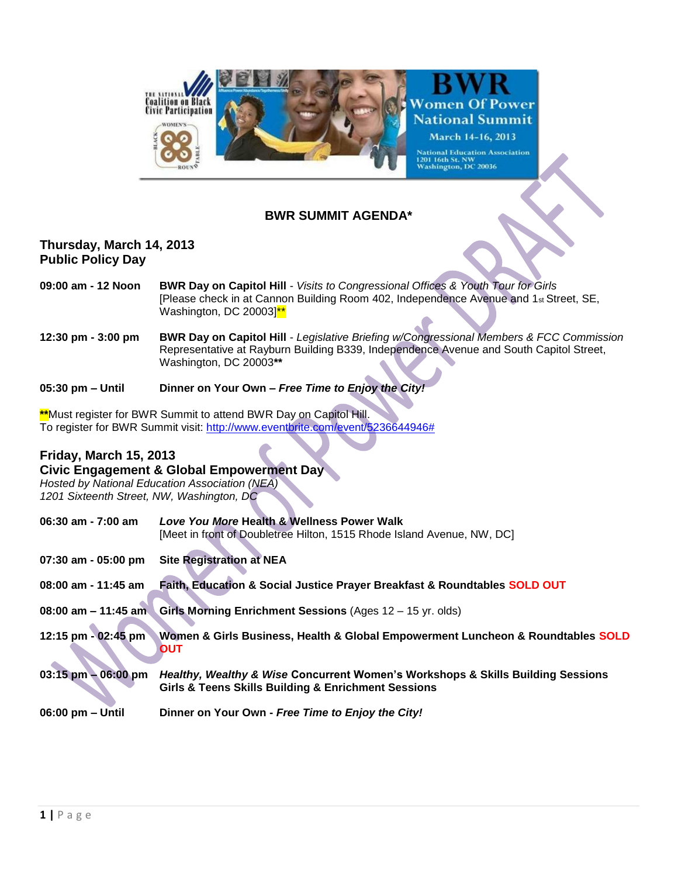

## **BWR SUMMIT AGENDA\***

## **Thursday, March 14, 2013 Public Policy Day**

- **09:00 am - 12 Noon BWR Day on Capitol Hill** *Visits to Congressional Offices & Youth Tour for Girls* [Please check in at Cannon Building Room 402, Independence Avenue and 1st Street, SE, Washington, DC 20003<sup>\*\*</sup>
- **12:30 pm - 3:00 pm BWR Day on Capitol Hill**  *Legislative Briefing w/Congressional Members & FCC Commission* Representative at Rayburn Building B339, Independence Avenue and South Capitol Street, Washington, DC 20003**\*\***

**05:30 pm – Until Dinner on Your Own –** *Free Time to Enjoy the City!* 

**\*\***Must register for BWR Summit to attend BWR Day on Capitol Hill. To register for BWR Summit visit: [http://www.eventbrite.com/event/5236644946#](http://www.eventbrite.com/event/5236644946)

## **Friday, March 15, 2013**

#### **Civic Engagement & Global Empowerment Day**

*Hosted by National Education Association (NEA) 1201 Sixteenth Street, NW, Washington, DC* 

| $06:30$ am - 7:00 am   | Love You More Health & Wellness Power Walk                                                                                             |
|------------------------|----------------------------------------------------------------------------------------------------------------------------------------|
|                        | [Meet in front of Doubletree Hilton, 1515 Rhode Island Avenue, NW, DC]                                                                 |
| 07:30 am - 05:00 pm    | <b>Site Registration at NEA</b>                                                                                                        |
| 08:00 am - 11:45 am    | Faith, Education & Social Justice Prayer Breakfast & Roundtables SOLD OUT                                                              |
| 08:00 am $-$ 11:45 am  | Girls Morning Enrichment Sessions (Ages 12 - 15 yr. olds)                                                                              |
| 12:15 pm - 02:45 pm    | Women & Girls Business, Health & Global Empowerment Luncheon & Roundtables SOLD<br>OUT                                                 |
| $03:15$ pm $-06:00$ pm | Healthy, Wealthy & Wise Concurrent Women's Workshops & Skills Building Sessions<br>Girls & Teens Skills Building & Enrichment Sessions |
| 06:00 pm - Until       | Dinner on Your Own - Free Time to Enjoy the City!                                                                                      |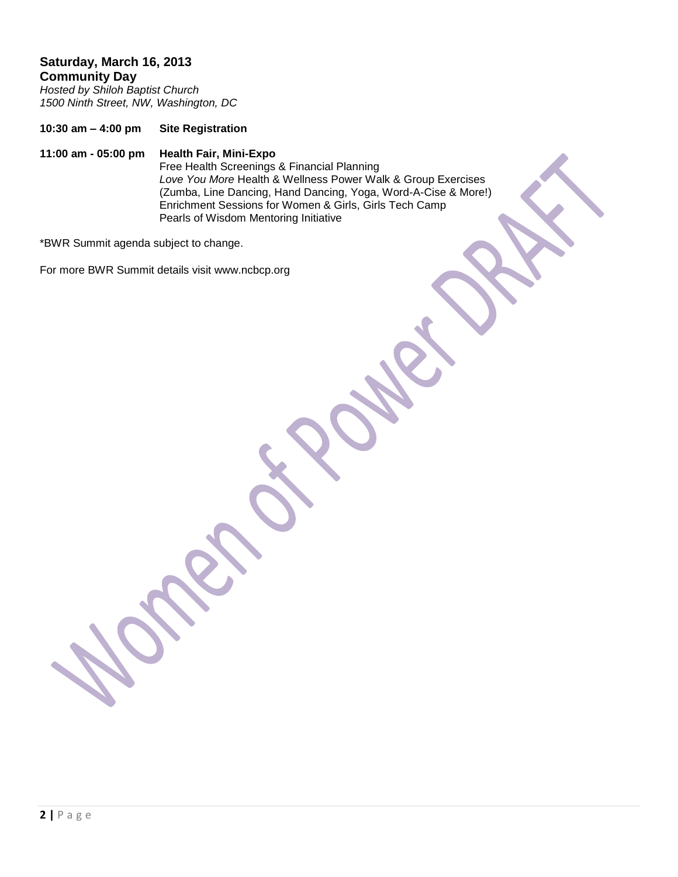# **Saturday, March 16, 2013 Community Day**

*Hosted by Shiloh Baptist Church 1500 Ninth Street, NW, Washington, DC* 

**10:30 am – 4:00 pm Site Registration** 

# **11:00 am - 05:00 pm Health Fair, Mini-Expo**

Free Health Screenings & Financial Planning *Love You More* Health & Wellness Power Walk & Group Exercises (Zumba, Line Dancing, Hand Dancing, Yoga, Word-A-Cise & More!) Enrichment Sessions for Women & Girls, Girls Tech Camp Pearls of Wisdom Mentoring Initiative

\*BWR Summit agenda subject to change.

For more BWR Summit details visit www.ncbcp.org